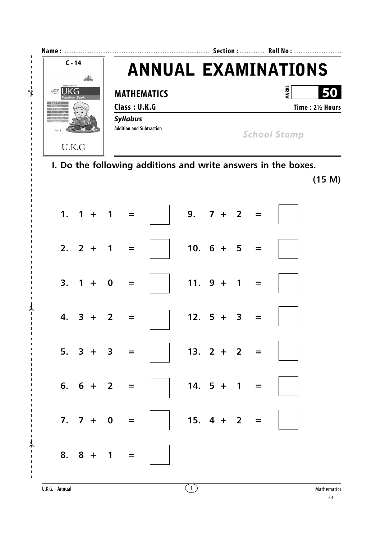

I. Do the following additions and write answers in the boxes.

 $(15 M)$ 

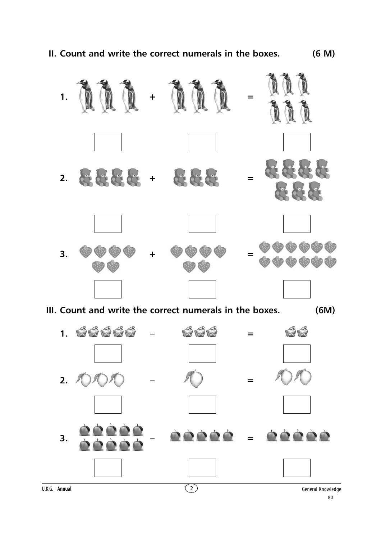**II. Count and write the correct numerals in the boxes. (6 M)**



**III. Count and write the correct numerals in the boxes. (6M)**

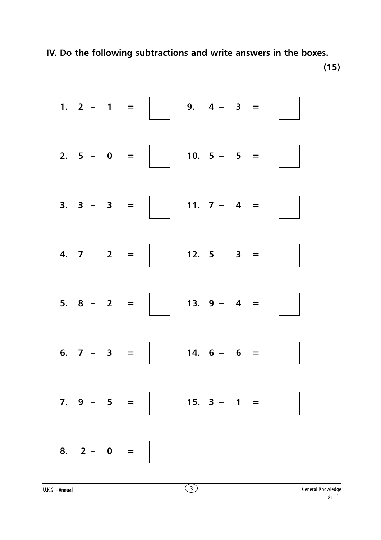**IV. Do the following subtractions and write answers in the boxes.**

**(15)**